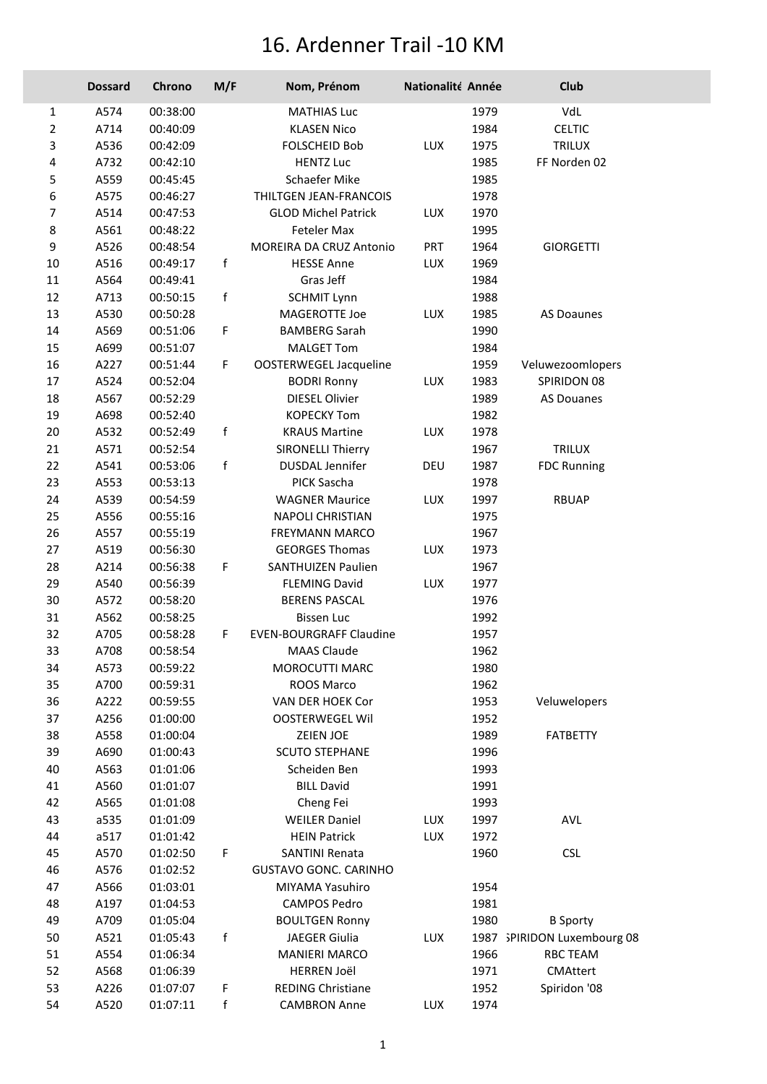## 16. Ardenner Trail -10 KM

|                | <b>Dossard</b> | Chrono               | M/F          | Nom, Prénom                                | Nationalité Année |              | Club                        |
|----------------|----------------|----------------------|--------------|--------------------------------------------|-------------------|--------------|-----------------------------|
| 1              | A574           | 00:38:00             |              | <b>MATHIAS Luc</b>                         |                   | 1979         | VdL                         |
| $\overline{2}$ | A714           | 00:40:09             |              | <b>KLASEN Nico</b>                         |                   | 1984         | <b>CELTIC</b>               |
| 3              | A536           | 00:42:09             |              | <b>FOLSCHEID Bob</b>                       | LUX               | 1975         | TRILUX                      |
| 4              | A732           | 00:42:10             |              | <b>HENTZ Luc</b>                           |                   | 1985         | FF Norden 02                |
| 5              | A559           | 00:45:45             |              | Schaefer Mike                              |                   | 1985         |                             |
| 6              | A575           | 00:46:27             |              | THILTGEN JEAN-FRANCOIS                     |                   | 1978         |                             |
| 7              | A514           | 00:47:53             |              | <b>GLOD Michel Patrick</b>                 | LUX               | 1970         |                             |
| $\bf 8$        | A561           | 00:48:22             |              | Feteler Max                                |                   | 1995         |                             |
| 9              | A526           | 00:48:54             |              | MOREIRA DA CRUZ Antonio                    | <b>PRT</b>        | 1964         | <b>GIORGETTI</b>            |
| $10\,$         | A516           | 00:49:17             | f            | <b>HESSE Anne</b>                          | LUX               | 1969         |                             |
| $11\,$         | A564           | 00:49:41             |              | Gras Jeff                                  |                   | 1984         |                             |
| 12             | A713           | 00:50:15             | f            | <b>SCHMIT Lynn</b>                         |                   | 1988         |                             |
| 13             | A530           | 00:50:28             |              | MAGEROTTE Joe                              | <b>LUX</b>        | 1985         | AS Doaunes                  |
| $14\,$         | A569           | 00:51:06             | F            | <b>BAMBERG Sarah</b>                       |                   | 1990         |                             |
| 15             | A699           | 00:51:07             |              | <b>MALGET Tom</b>                          |                   | 1984         |                             |
| 16             | A227           | 00:51:44             | F.           | OOSTERWEGEL Jacqueline                     |                   | 1959         | Veluwezoomlopers            |
| $17\,$         | A524           | 00:52:04             |              | <b>BODRI Ronny</b>                         | LUX               | 1983         | SPIRIDON 08                 |
| $18\,$         | A567           | 00:52:29             |              | <b>DIESEL Olivier</b>                      |                   | 1989         | <b>AS Douanes</b>           |
| 19             | A698           | 00:52:40             |              | <b>KOPECKY Tom</b>                         |                   | 1982         |                             |
| $20\,$         | A532           | 00:52:49             | f            | <b>KRAUS Martine</b>                       | LUX               | 1978         |                             |
| 21             | A571           | 00:52:54             |              | <b>SIRONELLI Thierry</b>                   |                   | 1967         | <b>TRILUX</b>               |
| 22             | A541           | 00:53:06             | $\mathsf{f}$ | <b>DUSDAL Jennifer</b>                     | DEU               | 1987         | <b>FDC Running</b>          |
| 23             | A553           | 00:53:13             |              | PICK Sascha                                |                   | 1978         |                             |
| 24             | A539           | 00:54:59             |              | <b>WAGNER Maurice</b>                      | LUX               | 1997         | <b>RBUAP</b>                |
| 25             | A556           | 00:55:16             |              | <b>NAPOLI CHRISTIAN</b>                    |                   | 1975         |                             |
| 26             | A557           | 00:55:19             |              | FREYMANN MARCO                             |                   | 1967         |                             |
| 27             | A519           | 00:56:30             |              | <b>GEORGES Thomas</b>                      | LUX               | 1973         |                             |
| 28             | A214           | 00:56:38             | F.           | SANTHUIZEN Paulien                         |                   | 1967         |                             |
| 29             | A540           | 00:56:39             |              | <b>FLEMING David</b>                       | LUX               | 1977         |                             |
| 30             | A572           | 00:58:20             |              | <b>BERENS PASCAL</b>                       |                   | 1976         |                             |
| 31             | A562           | 00:58:25             |              | <b>Bissen Luc</b>                          |                   | 1992         |                             |
| 32             | A705           | 00:58:28             | F.           | <b>EVEN-BOURGRAFF Claudine</b>             |                   | 1957         |                             |
| 33             | A708           | 00:58:54             |              | <b>MAAS Claude</b>                         |                   | 1962         |                             |
| 34             | A573           | 00:59:22             |              | MOROCUTTI MARC                             |                   | 1980         |                             |
| 35             | A700           | 00:59:31             |              | ROOS Marco                                 |                   | 1962         |                             |
| 36<br>37       | A222<br>A256   | 00:59:55<br>01:00:00 |              | VAN DER HOEK Cor<br><b>OOSTERWEGEL Wil</b> |                   | 1953<br>1952 | Veluwelopers                |
| 38             | A558           | 01:00:04             |              | ZEIEN JOE                                  |                   | 1989         | FATBETTY                    |
| 39             | A690           | 01:00:43             |              | <b>SCUTO STEPHANE</b>                      |                   | 1996         |                             |
| 40             | A563           | 01:01:06             |              | Scheiden Ben                               |                   | 1993         |                             |
| 41             | A560           | 01:01:07             |              | <b>BILL David</b>                          |                   | 1991         |                             |
| 42             | A565           | 01:01:08             |              | Cheng Fei                                  |                   | 1993         |                             |
| 43             | a535           | 01:01:09             |              | <b>WEILER Daniel</b>                       | LUX               | 1997         | <b>AVL</b>                  |
| 44             | a517           | 01:01:42             |              | <b>HEIN Patrick</b>                        | LUX               | 1972         |                             |
| 45             | A570           | 01:02:50             | F            | <b>SANTINI Renata</b>                      |                   | 1960         | <b>CSL</b>                  |
| 46             | A576           | 01:02:52             |              | <b>GUSTAVO GONC. CARINHO</b>               |                   |              |                             |
| 47             | A566           | 01:03:01             |              | MIYAMA Yasuhiro                            |                   | 1954         |                             |
| 48             | A197           | 01:04:53             |              | <b>CAMPOS Pedro</b>                        |                   | 1981         |                             |
| 49             | A709           | 01:05:04             |              | <b>BOULTGEN Ronny</b>                      |                   | 1980         | <b>B</b> Sporty             |
| 50             | A521           | 01:05:43             | f            | JAEGER Giulia                              | LUX               |              | 1987 SPIRIDON Luxembourg 08 |
| 51             | A554           | 01:06:34             |              | <b>MANIERI MARCO</b>                       |                   | 1966         | <b>RBC TEAM</b>             |
| 52             | A568           | 01:06:39             |              | <b>HERREN Joël</b>                         |                   | 1971         | <b>CMAttert</b>             |
| 53             | A226           | 01:07:07             | F            | <b>REDING Christiane</b>                   |                   | 1952         | Spiridon '08                |
| 54             | A520           | 01:07:11             | f            | <b>CAMBRON Anne</b>                        | LUX               | 1974         |                             |